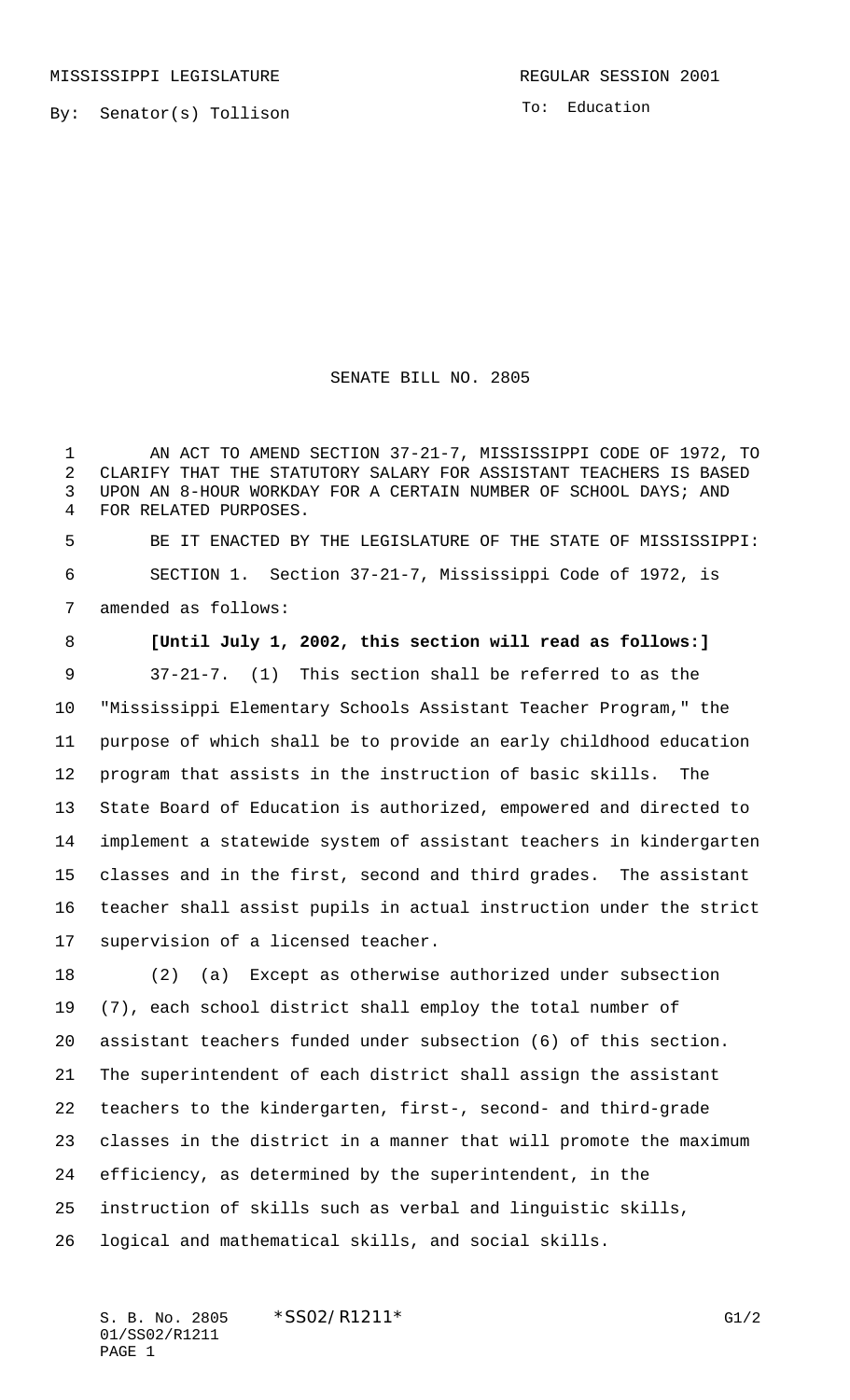MISSISSIPPI LEGISLATURE **REGULAR SESSION 2001** 

By: Senator(s) Tollison

To: Education

SENATE BILL NO. 2805

 AN ACT TO AMEND SECTION 37-21-7, MISSISSIPPI CODE OF 1972, TO CLARIFY THAT THE STATUTORY SALARY FOR ASSISTANT TEACHERS IS BASED UPON AN 8-HOUR WORKDAY FOR A CERTAIN NUMBER OF SCHOOL DAYS; AND FOR RELATED PURPOSES.

 BE IT ENACTED BY THE LEGISLATURE OF THE STATE OF MISSISSIPPI: SECTION 1. Section 37-21-7, Mississippi Code of 1972, is amended as follows:

 **[Until July 1, 2002, this section will read as follows:]** 37-21-7. (1) This section shall be referred to as the "Mississippi Elementary Schools Assistant Teacher Program," the purpose of which shall be to provide an early childhood education program that assists in the instruction of basic skills. The State Board of Education is authorized, empowered and directed to implement a statewide system of assistant teachers in kindergarten classes and in the first, second and third grades. The assistant teacher shall assist pupils in actual instruction under the strict supervision of a licensed teacher.

 (2) (a) Except as otherwise authorized under subsection (7), each school district shall employ the total number of assistant teachers funded under subsection (6) of this section. The superintendent of each district shall assign the assistant teachers to the kindergarten, first-, second- and third-grade classes in the district in a manner that will promote the maximum efficiency, as determined by the superintendent, in the instruction of skills such as verbal and linguistic skills, logical and mathematical skills, and social skills.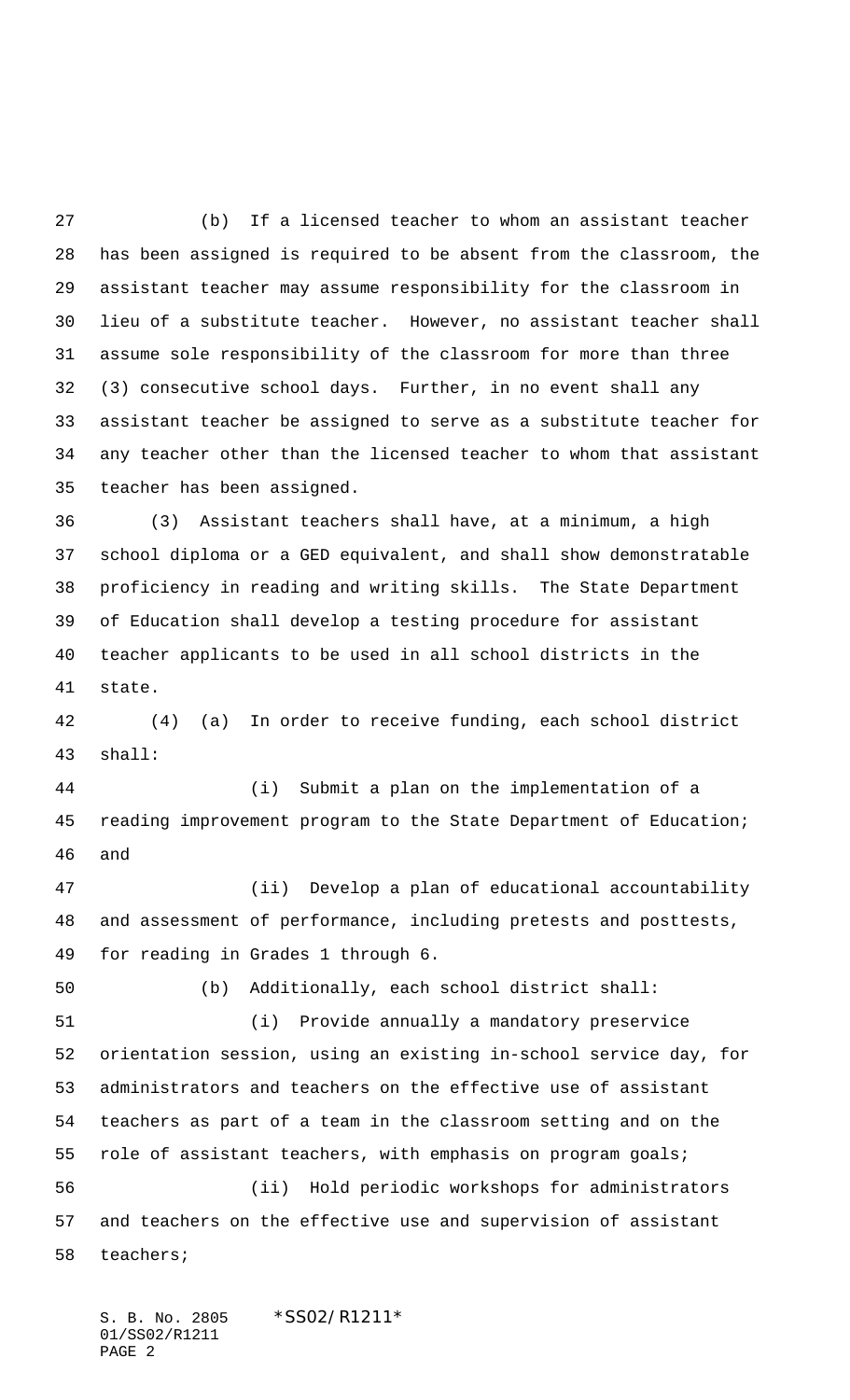(b) If a licensed teacher to whom an assistant teacher has been assigned is required to be absent from the classroom, the assistant teacher may assume responsibility for the classroom in lieu of a substitute teacher. However, no assistant teacher shall assume sole responsibility of the classroom for more than three (3) consecutive school days. Further, in no event shall any assistant teacher be assigned to serve as a substitute teacher for any teacher other than the licensed teacher to whom that assistant teacher has been assigned.

 (3) Assistant teachers shall have, at a minimum, a high school diploma or a GED equivalent, and shall show demonstratable proficiency in reading and writing skills. The State Department of Education shall develop a testing procedure for assistant teacher applicants to be used in all school districts in the state.

 (4) (a) In order to receive funding, each school district shall:

 (i) Submit a plan on the implementation of a reading improvement program to the State Department of Education; and

 (ii) Develop a plan of educational accountability and assessment of performance, including pretests and posttests, for reading in Grades 1 through 6.

(b) Additionally, each school district shall:

 (i) Provide annually a mandatory preservice orientation session, using an existing in-school service day, for administrators and teachers on the effective use of assistant teachers as part of a team in the classroom setting and on the 55 role of assistant teachers, with emphasis on program goals; (ii) Hold periodic workshops for administrators and teachers on the effective use and supervision of assistant teachers;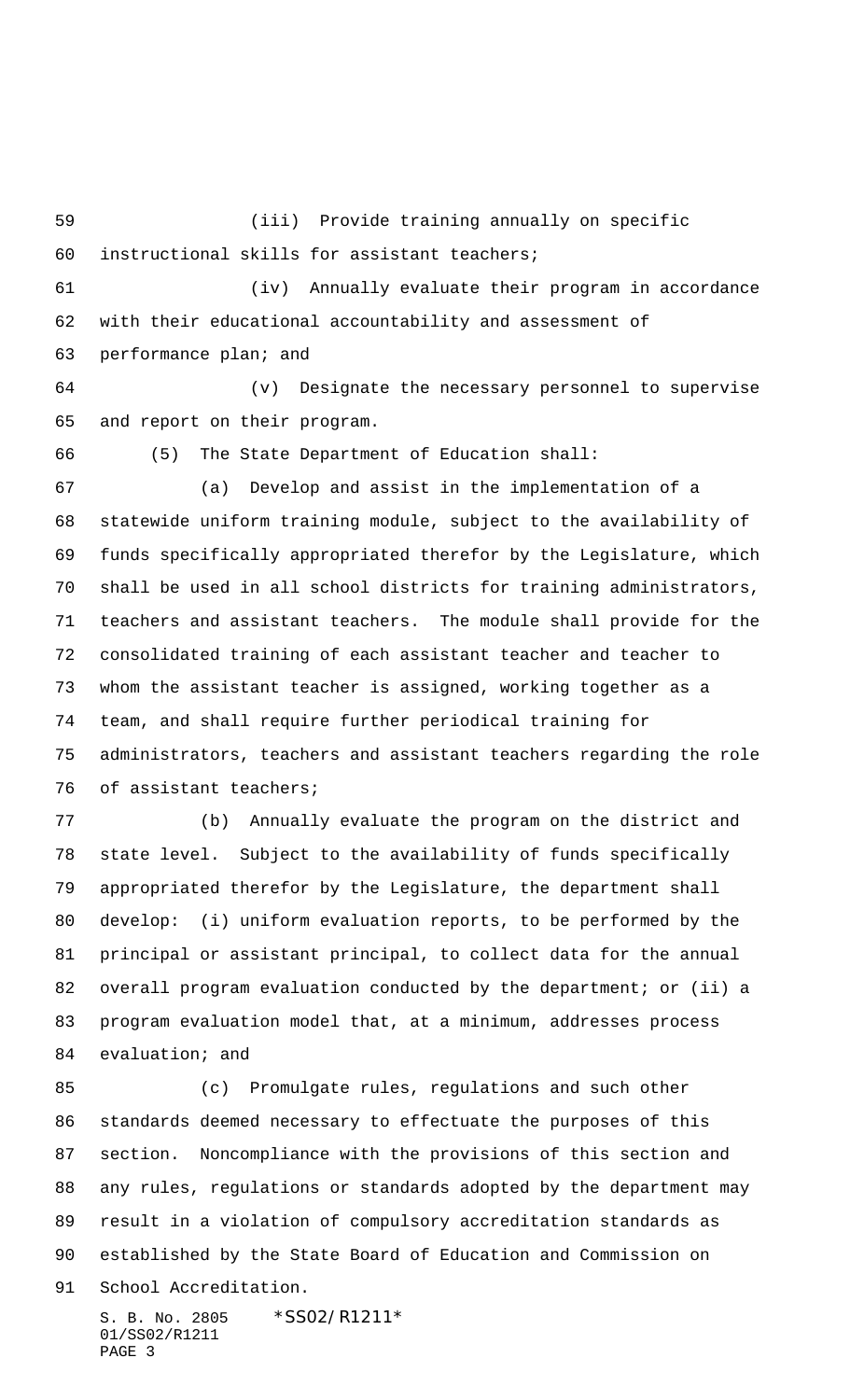(iii) Provide training annually on specific instructional skills for assistant teachers; (iv) Annually evaluate their program in accordance with their educational accountability and assessment of performance plan; and (v) Designate the necessary personnel to supervise and report on their program. (5) The State Department of Education shall: (a) Develop and assist in the implementation of a statewide uniform training module, subject to the availability of funds specifically appropriated therefor by the Legislature, which shall be used in all school districts for training administrators, teachers and assistant teachers. The module shall provide for the consolidated training of each assistant teacher and teacher to whom the assistant teacher is assigned, working together as a team, and shall require further periodical training for administrators, teachers and assistant teachers regarding the role of assistant teachers; (b) Annually evaluate the program on the district and state level. Subject to the availability of funds specifically appropriated therefor by the Legislature, the department shall develop: (i) uniform evaluation reports, to be performed by the principal or assistant principal, to collect data for the annual overall program evaluation conducted by the department; or (ii) a

 program evaluation model that, at a minimum, addresses process evaluation; and

 (c) Promulgate rules, regulations and such other standards deemed necessary to effectuate the purposes of this section. Noncompliance with the provisions of this section and any rules, regulations or standards adopted by the department may result in a violation of compulsory accreditation standards as established by the State Board of Education and Commission on School Accreditation.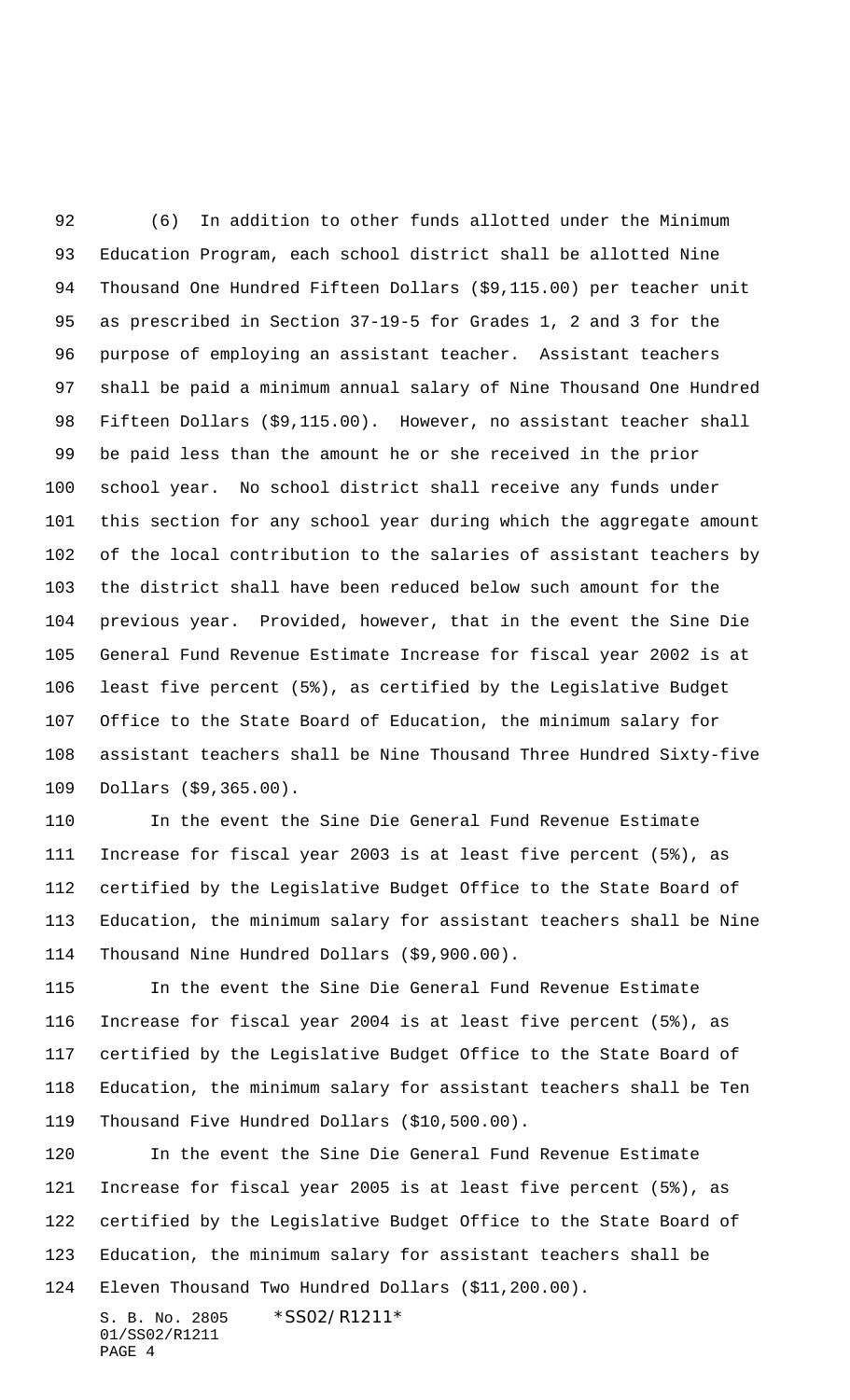(6) In addition to other funds allotted under the Minimum Education Program, each school district shall be allotted Nine Thousand One Hundred Fifteen Dollars (\$9,115.00) per teacher unit as prescribed in Section 37-19-5 for Grades 1, 2 and 3 for the purpose of employing an assistant teacher. Assistant teachers shall be paid a minimum annual salary of Nine Thousand One Hundred Fifteen Dollars (\$9,115.00). However, no assistant teacher shall be paid less than the amount he or she received in the prior school year. No school district shall receive any funds under this section for any school year during which the aggregate amount of the local contribution to the salaries of assistant teachers by the district shall have been reduced below such amount for the previous year. Provided, however, that in the event the Sine Die General Fund Revenue Estimate Increase for fiscal year 2002 is at least five percent (5%), as certified by the Legislative Budget Office to the State Board of Education, the minimum salary for assistant teachers shall be Nine Thousand Three Hundred Sixty-five Dollars (\$9,365.00).

 In the event the Sine Die General Fund Revenue Estimate Increase for fiscal year 2003 is at least five percent (5%), as certified by the Legislative Budget Office to the State Board of Education, the minimum salary for assistant teachers shall be Nine Thousand Nine Hundred Dollars (\$9,900.00).

 In the event the Sine Die General Fund Revenue Estimate Increase for fiscal year 2004 is at least five percent (5%), as certified by the Legislative Budget Office to the State Board of Education, the minimum salary for assistant teachers shall be Ten Thousand Five Hundred Dollars (\$10,500.00).

 In the event the Sine Die General Fund Revenue Estimate Increase for fiscal year 2005 is at least five percent (5%), as certified by the Legislative Budget Office to the State Board of Education, the minimum salary for assistant teachers shall be Eleven Thousand Two Hundred Dollars (\$11,200.00).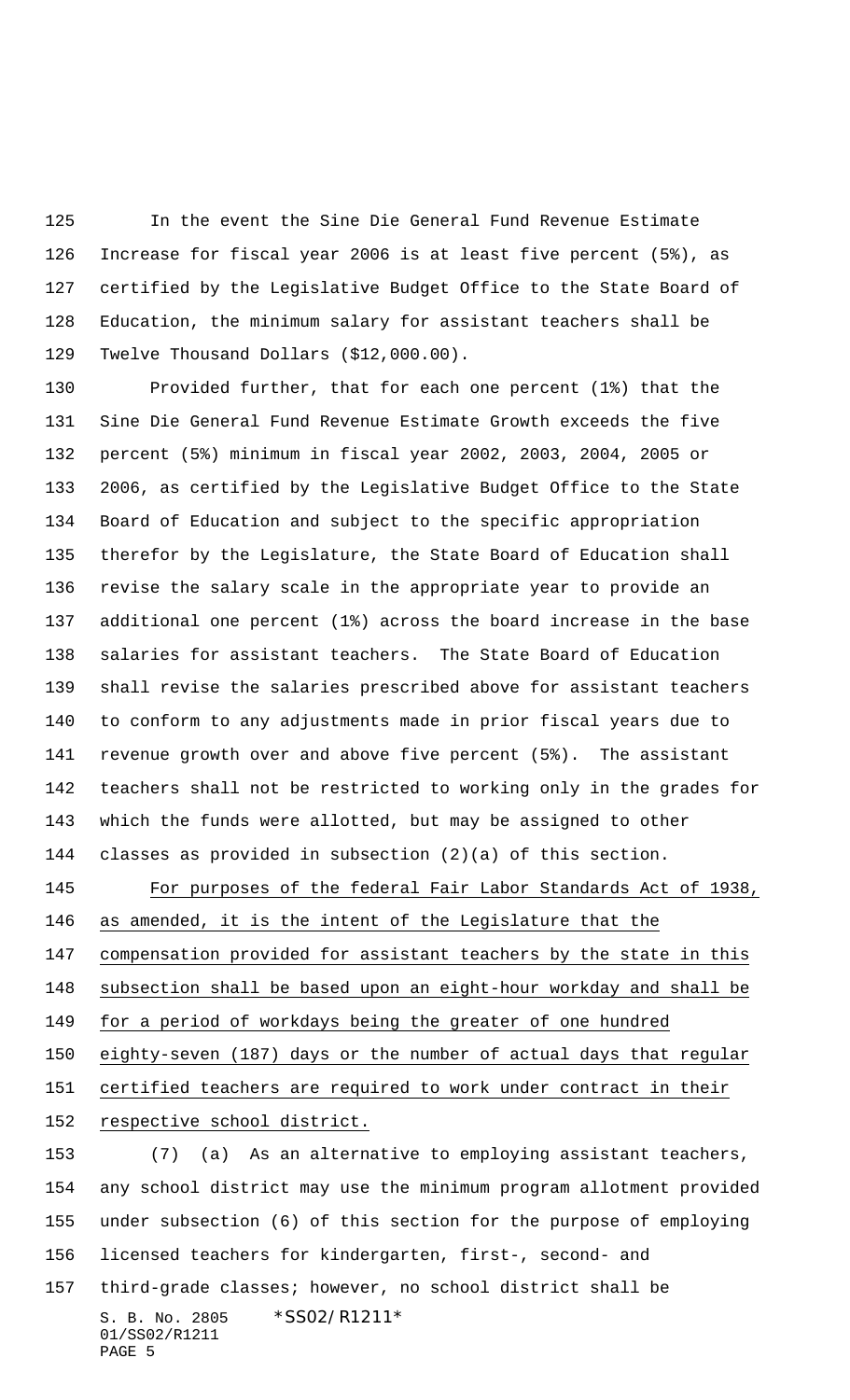In the event the Sine Die General Fund Revenue Estimate Increase for fiscal year 2006 is at least five percent (5%), as certified by the Legislative Budget Office to the State Board of Education, the minimum salary for assistant teachers shall be Twelve Thousand Dollars (\$12,000.00).

 Provided further, that for each one percent (1%) that the Sine Die General Fund Revenue Estimate Growth exceeds the five percent (5%) minimum in fiscal year 2002, 2003, 2004, 2005 or 2006, as certified by the Legislative Budget Office to the State Board of Education and subject to the specific appropriation therefor by the Legislature, the State Board of Education shall revise the salary scale in the appropriate year to provide an additional one percent (1%) across the board increase in the base salaries for assistant teachers. The State Board of Education shall revise the salaries prescribed above for assistant teachers to conform to any adjustments made in prior fiscal years due to revenue growth over and above five percent (5%). The assistant teachers shall not be restricted to working only in the grades for which the funds were allotted, but may be assigned to other classes as provided in subsection (2)(a) of this section.

 For purposes of the federal Fair Labor Standards Act of 1938, as amended, it is the intent of the Legislature that the compensation provided for assistant teachers by the state in this subsection shall be based upon an eight-hour workday and shall be 149 for a period of workdays being the greater of one hundred eighty-seven (187) days or the number of actual days that regular certified teachers are required to work under contract in their respective school district.

S. B. No. 2805 \*SS02/R1211\* 01/SS02/R1211 PAGE 5 (7) (a) As an alternative to employing assistant teachers, any school district may use the minimum program allotment provided under subsection (6) of this section for the purpose of employing licensed teachers for kindergarten, first-, second- and third-grade classes; however, no school district shall be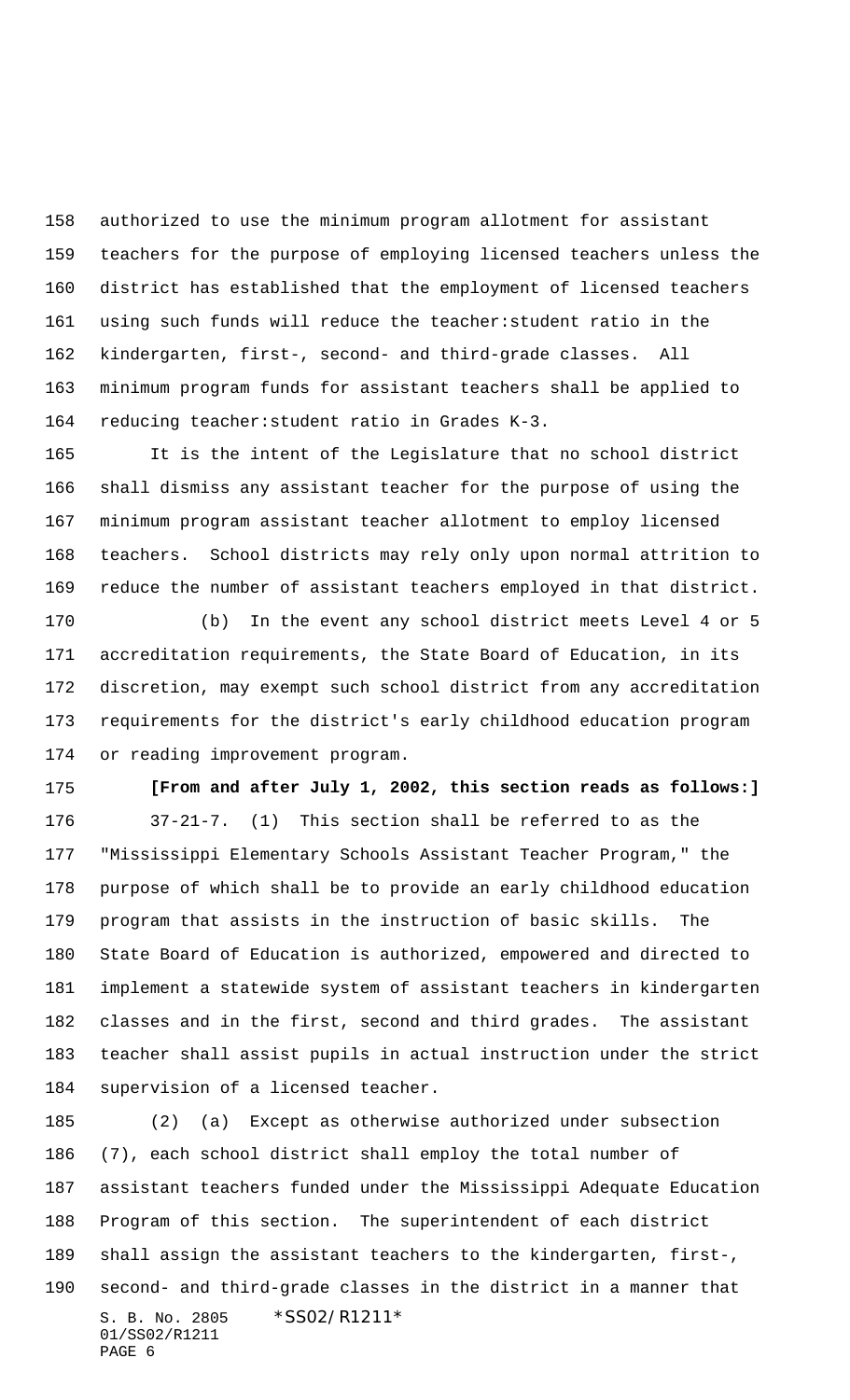authorized to use the minimum program allotment for assistant teachers for the purpose of employing licensed teachers unless the district has established that the employment of licensed teachers using such funds will reduce the teacher:student ratio in the kindergarten, first-, second- and third-grade classes. All minimum program funds for assistant teachers shall be applied to reducing teacher:student ratio in Grades K-3.

 It is the intent of the Legislature that no school district shall dismiss any assistant teacher for the purpose of using the minimum program assistant teacher allotment to employ licensed teachers. School districts may rely only upon normal attrition to reduce the number of assistant teachers employed in that district.

 (b) In the event any school district meets Level 4 or 5 accreditation requirements, the State Board of Education, in its discretion, may exempt such school district from any accreditation requirements for the district's early childhood education program or reading improvement program.

**[From and after July 1, 2002, this section reads as follows:]**

 37-21-7. (1) This section shall be referred to as the "Mississippi Elementary Schools Assistant Teacher Program," the purpose of which shall be to provide an early childhood education program that assists in the instruction of basic skills. The State Board of Education is authorized, empowered and directed to implement a statewide system of assistant teachers in kindergarten classes and in the first, second and third grades. The assistant teacher shall assist pupils in actual instruction under the strict supervision of a licensed teacher.

S. B. No. 2805 \*SS02/R1211\* 01/SS02/R1211 PAGE 6 (2) (a) Except as otherwise authorized under subsection (7), each school district shall employ the total number of assistant teachers funded under the Mississippi Adequate Education Program of this section. The superintendent of each district shall assign the assistant teachers to the kindergarten, first-, second- and third-grade classes in the district in a manner that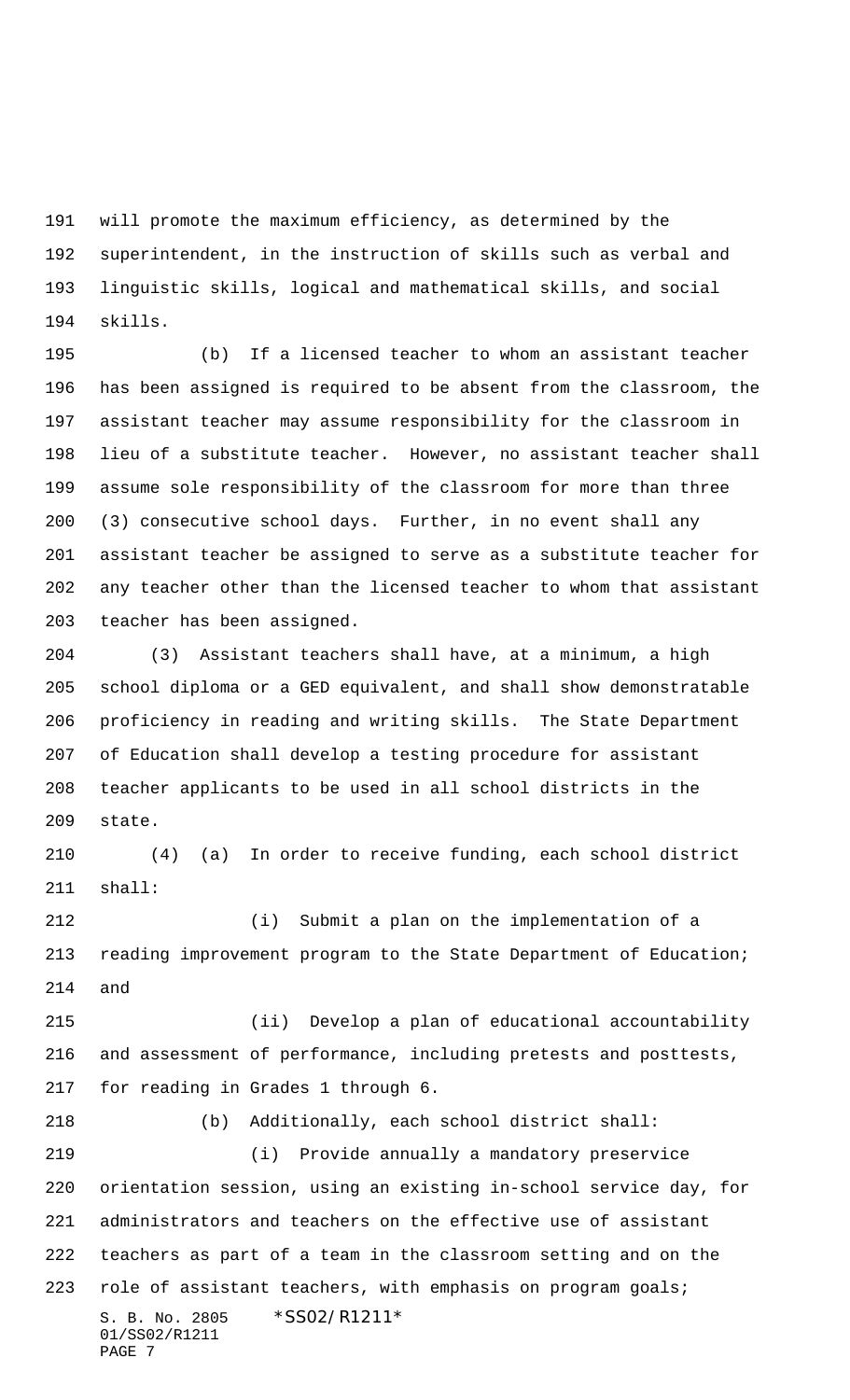will promote the maximum efficiency, as determined by the superintendent, in the instruction of skills such as verbal and linguistic skills, logical and mathematical skills, and social skills.

 (b) If a licensed teacher to whom an assistant teacher has been assigned is required to be absent from the classroom, the assistant teacher may assume responsibility for the classroom in lieu of a substitute teacher. However, no assistant teacher shall assume sole responsibility of the classroom for more than three (3) consecutive school days. Further, in no event shall any assistant teacher be assigned to serve as a substitute teacher for any teacher other than the licensed teacher to whom that assistant teacher has been assigned.

 (3) Assistant teachers shall have, at a minimum, a high school diploma or a GED equivalent, and shall show demonstratable proficiency in reading and writing skills. The State Department of Education shall develop a testing procedure for assistant teacher applicants to be used in all school districts in the state.

 (4) (a) In order to receive funding, each school district shall:

 (i) Submit a plan on the implementation of a reading improvement program to the State Department of Education; and

 (ii) Develop a plan of educational accountability and assessment of performance, including pretests and posttests, for reading in Grades 1 through 6.

S. B. No. 2805 \*SS02/R1211\* 01/SS02/R1211 PAGE 7 (b) Additionally, each school district shall: (i) Provide annually a mandatory preservice orientation session, using an existing in-school service day, for administrators and teachers on the effective use of assistant teachers as part of a team in the classroom setting and on the role of assistant teachers, with emphasis on program goals;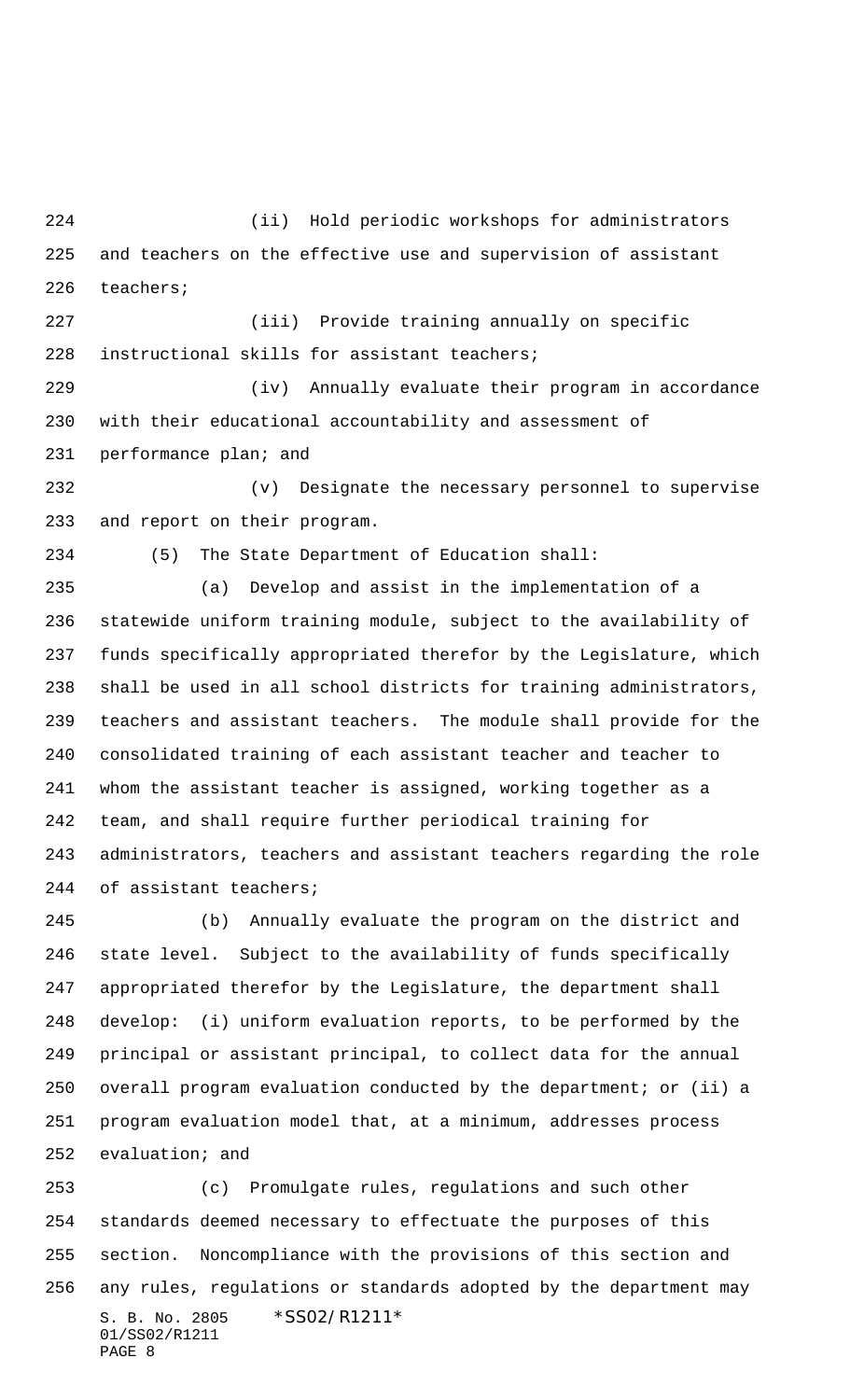(ii) Hold periodic workshops for administrators and teachers on the effective use and supervision of assistant teachers;

 (iii) Provide training annually on specific instructional skills for assistant teachers;

 (iv) Annually evaluate their program in accordance with their educational accountability and assessment of performance plan; and

 (v) Designate the necessary personnel to supervise and report on their program.

(5) The State Department of Education shall:

 (a) Develop and assist in the implementation of a statewide uniform training module, subject to the availability of funds specifically appropriated therefor by the Legislature, which shall be used in all school districts for training administrators, teachers and assistant teachers. The module shall provide for the consolidated training of each assistant teacher and teacher to whom the assistant teacher is assigned, working together as a team, and shall require further periodical training for administrators, teachers and assistant teachers regarding the role of assistant teachers;

 (b) Annually evaluate the program on the district and state level. Subject to the availability of funds specifically appropriated therefor by the Legislature, the department shall develop: (i) uniform evaluation reports, to be performed by the principal or assistant principal, to collect data for the annual overall program evaluation conducted by the department; or (ii) a program evaluation model that, at a minimum, addresses process evaluation; and

S. B. No. 2805 \*SS02/R1211\* 01/SS02/R1211 PAGE 8 (c) Promulgate rules, regulations and such other standards deemed necessary to effectuate the purposes of this section. Noncompliance with the provisions of this section and any rules, regulations or standards adopted by the department may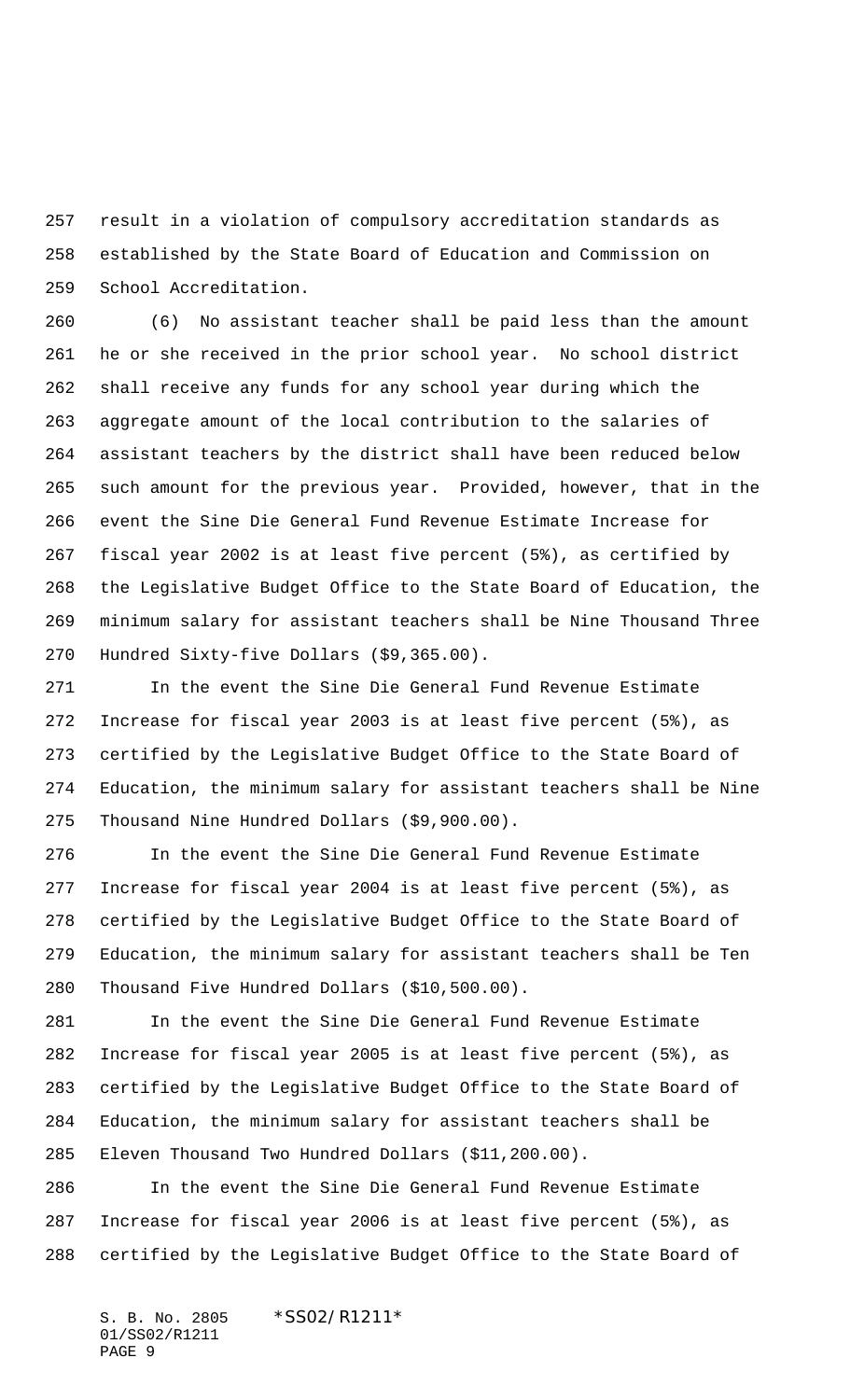result in a violation of compulsory accreditation standards as established by the State Board of Education and Commission on School Accreditation.

 (6) No assistant teacher shall be paid less than the amount he or she received in the prior school year. No school district shall receive any funds for any school year during which the aggregate amount of the local contribution to the salaries of assistant teachers by the district shall have been reduced below such amount for the previous year. Provided, however, that in the event the Sine Die General Fund Revenue Estimate Increase for fiscal year 2002 is at least five percent (5%), as certified by the Legislative Budget Office to the State Board of Education, the minimum salary for assistant teachers shall be Nine Thousand Three Hundred Sixty-five Dollars (\$9,365.00).

 In the event the Sine Die General Fund Revenue Estimate Increase for fiscal year 2003 is at least five percent (5%), as certified by the Legislative Budget Office to the State Board of Education, the minimum salary for assistant teachers shall be Nine Thousand Nine Hundred Dollars (\$9,900.00).

 In the event the Sine Die General Fund Revenue Estimate Increase for fiscal year 2004 is at least five percent (5%), as certified by the Legislative Budget Office to the State Board of Education, the minimum salary for assistant teachers shall be Ten Thousand Five Hundred Dollars (\$10,500.00).

 In the event the Sine Die General Fund Revenue Estimate Increase for fiscal year 2005 is at least five percent (5%), as certified by the Legislative Budget Office to the State Board of Education, the minimum salary for assistant teachers shall be Eleven Thousand Two Hundred Dollars (\$11,200.00).

 In the event the Sine Die General Fund Revenue Estimate Increase for fiscal year 2006 is at least five percent (5%), as certified by the Legislative Budget Office to the State Board of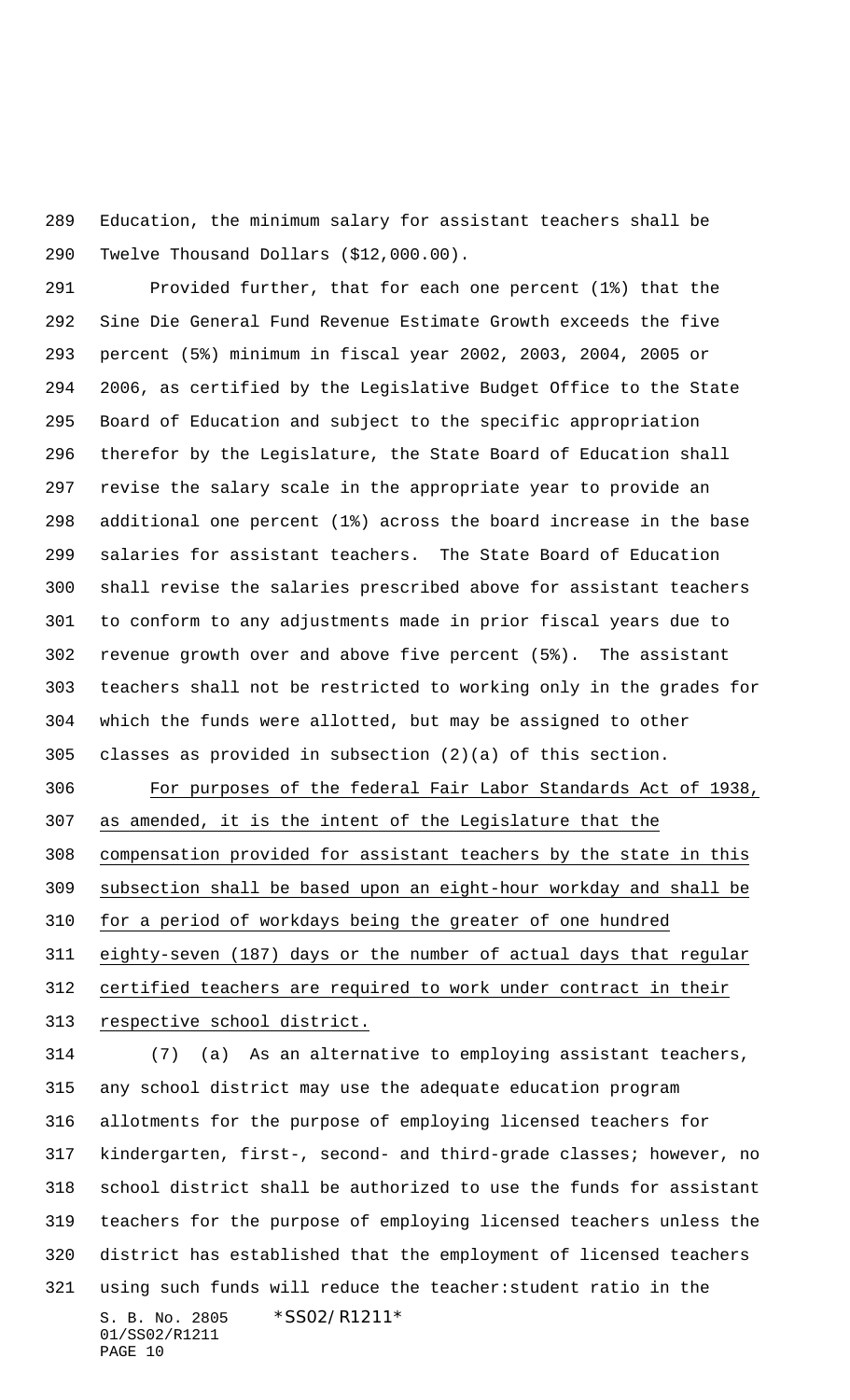Education, the minimum salary for assistant teachers shall be Twelve Thousand Dollars (\$12,000.00).

 Provided further, that for each one percent (1%) that the Sine Die General Fund Revenue Estimate Growth exceeds the five percent (5%) minimum in fiscal year 2002, 2003, 2004, 2005 or 2006, as certified by the Legislative Budget Office to the State Board of Education and subject to the specific appropriation therefor by the Legislature, the State Board of Education shall revise the salary scale in the appropriate year to provide an additional one percent (1%) across the board increase in the base salaries for assistant teachers. The State Board of Education shall revise the salaries prescribed above for assistant teachers to conform to any adjustments made in prior fiscal years due to revenue growth over and above five percent (5%). The assistant teachers shall not be restricted to working only in the grades for which the funds were allotted, but may be assigned to other classes as provided in subsection (2)(a) of this section.

 For purposes of the federal Fair Labor Standards Act of 1938, as amended, it is the intent of the Legislature that the compensation provided for assistant teachers by the state in this subsection shall be based upon an eight-hour workday and shall be for a period of workdays being the greater of one hundred eighty-seven (187) days or the number of actual days that regular certified teachers are required to work under contract in their

313 respective school district.

S. B. No. 2805 \*SS02/R1211\* 01/SS02/R1211 PAGE 10 (7) (a) As an alternative to employing assistant teachers, any school district may use the adequate education program allotments for the purpose of employing licensed teachers for kindergarten, first-, second- and third-grade classes; however, no school district shall be authorized to use the funds for assistant teachers for the purpose of employing licensed teachers unless the district has established that the employment of licensed teachers using such funds will reduce the teacher:student ratio in the